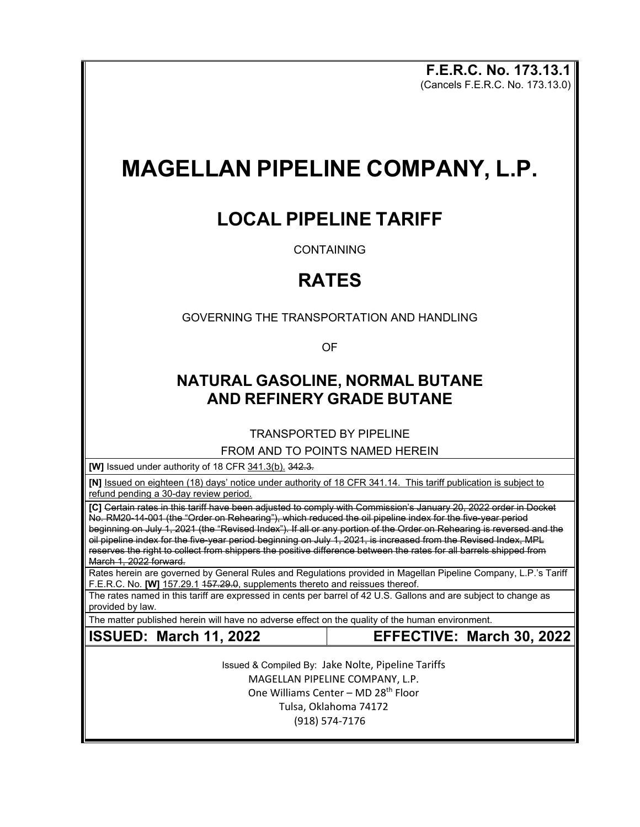**F.E.R.C. No. 173.13.1** (Cancels F.E.R.C. No. 173.13.0)

# **MAGELLAN PIPELINE COMPANY, L.P.**

### **LOCAL PIPELINE TARIFF**

CONTAINING

# **RATES**

GOVERNING THE TRANSPORTATION AND HANDLING

OF

#### **NATURAL GASOLINE, NORMAL BUTANE AND REFINERY GRADE BUTANE**

TRANSPORTED BY PIPELINE

FROM AND TO POINTS NAMED HEREIN

**[W]** Issued under authority of 18 CFR 341.3(b). 342.3*.*

**[N]** Issued on eighteen (18) days' notice under authority of 18 CFR 341.14. This tariff publication is subject to refund pending a 30-day review period.

**[C]** Certain rates in this tariff have been adjusted to comply with Commission's January 20, 2022 order in Docket No. RM20-14-001 (the "Order on Rehearing"), which reduced the oil pipeline index for the five-year period beginning on July 1, 2021 (the "Revised Index"). If all or any portion of the Order on Rehearing is reversed and the oil pipeline index for the five-year period beginning on July 1, 2021, is increased from the Revised Index, MPL reserves the right to collect from shippers the positive difference between the rates for all barrels shipped from March 1, 2022 forward.

Rates herein are governed by General Rules and Regulations provided in Magellan Pipeline Company, L.P.'s Tariff F.E.R.C. No. **[W]** 157.29.1 157.29.0, supplements thereto and reissues thereof.

The rates named in this tariff are expressed in cents per barrel of 42 U.S. Gallons and are subject to change as provided by law.

The matter published herein will have no adverse effect on the quality of the human environment.

#### **ISSUED: March 11, 2022 EFFECTIVE: March 30, 2022**

Issued & Compiled By: Jake Nolte, Pipeline Tariffs MAGELLAN PIPELINE COMPANY, L.P. One Williams Center – MD 28<sup>th</sup> Floor Tulsa, Oklahoma 74172 (918) 574-7176